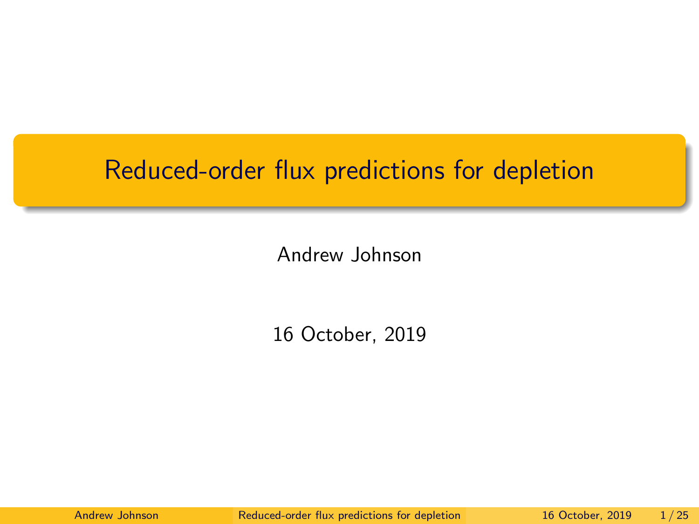## <span id="page-0-0"></span>Reduced-order flux predictions for depletion

Andrew Johnson

16 October, 2019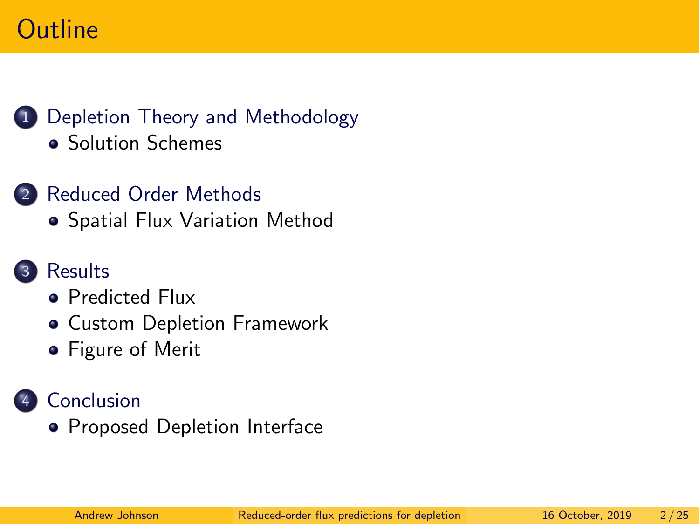# **Outline**



- [Solution Schemes](#page-4-0)
- 2 [Reduced Order Methods](#page-7-0)
	- **[Spatial Flux Variation Method](#page-8-0)**

#### **[Results](#page-12-0)**

- **•** [Predicted Flux](#page-13-0)
- [Custom Depletion Framework](#page-14-0)
- **•** [Figure of Merit](#page-18-0)

#### **[Conclusion](#page-20-0)**

**• [Proposed Depletion Interface](#page-22-0)**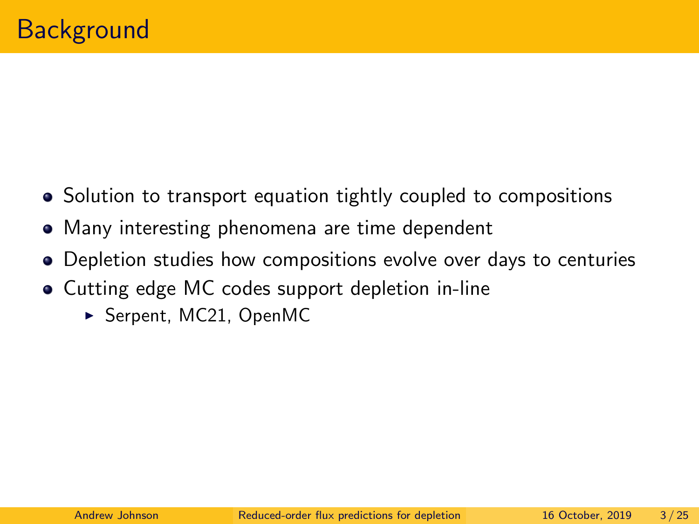- <span id="page-2-0"></span>• Solution to transport equation tightly coupled to compositions
- Many interesting phenomena are time dependent
- Depletion studies how compositions evolve over days to centuries
- Cutting edge MC codes support depletion in-line
	- $\triangleright$  Serpent, MC21, OpenMC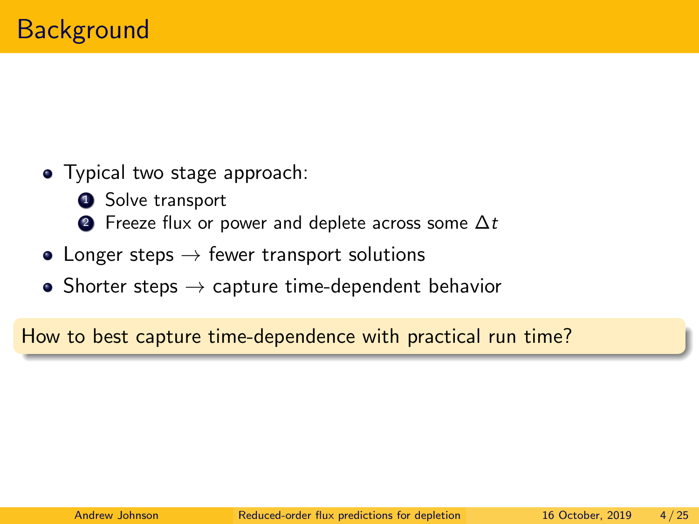- Typical two stage approach:
	- **1** Solve transport
	- **2** Freeze flux or power and deplete across some  $\Delta t$
- Longer steps  $\rightarrow$  fewer transport solutions
- Shorter steps  $\rightarrow$  capture time-dependent behavior

How to best capture time-dependence with practical run time?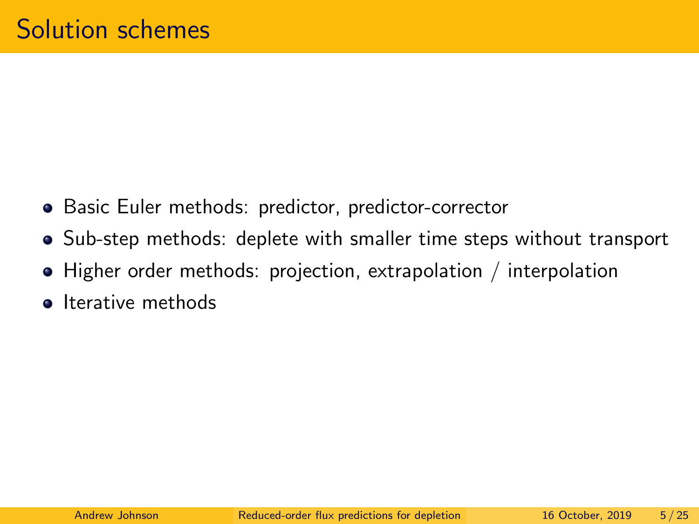- <span id="page-4-0"></span>• Basic Euler methods: predictor, predictor-corrector
- Sub-step methods: deplete with smaller time steps without transport
- Higher order methods: projection, extrapolation / interpolation
- **o** Iterative methods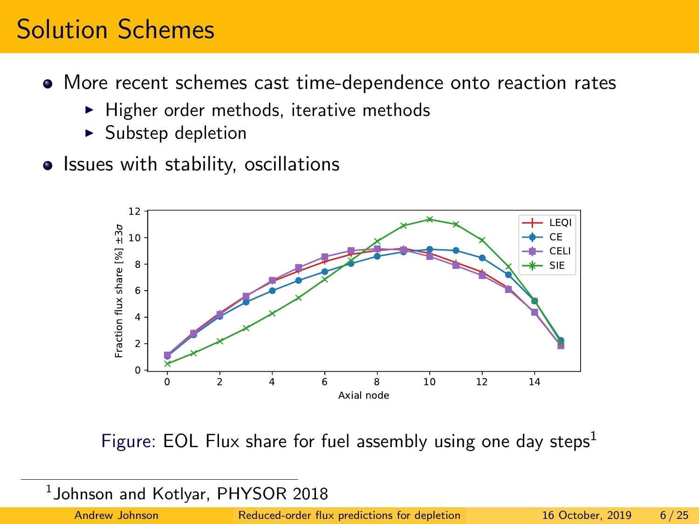## Solution Schemes

- More recent schemes cast time-dependence onto reaction rates
	- $\blacktriangleright$  Higher order methods, iterative methods
	- $\blacktriangleright$  Substep depletion
- Issues with stability, oscillations



Figure: EOL Flux share for fuel assembly using one day steps<sup>1</sup>

 $^1$ Johnson and Kotlyar, PHYSOR 2018

Andrew Johnson [Reduced-order flux predictions for depletion](#page-0-0) 16 October, 2019 6 / 25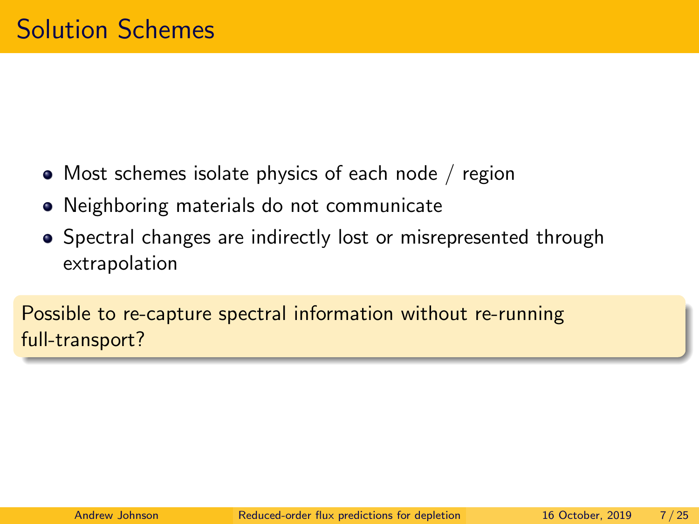- Most schemes isolate physics of each node / region
- Neighboring materials do not communicate
- Spectral changes are indirectly lost or misrepresented through extrapolation

Possible to re-capture spectral information without re-running full-transport?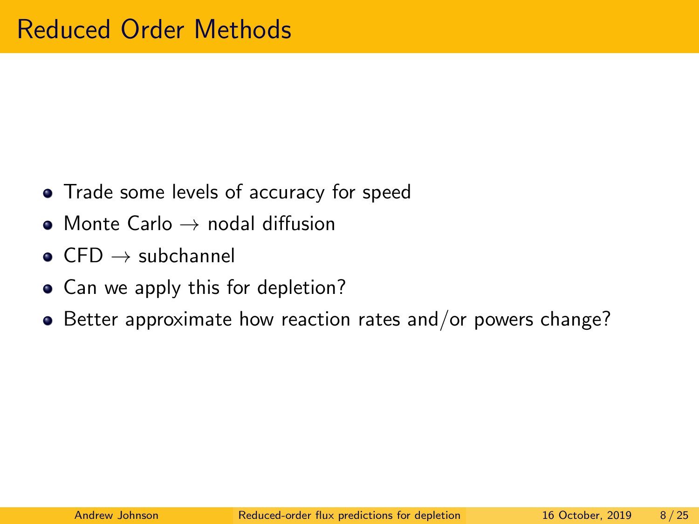- <span id="page-7-0"></span>• Trade some levels of accuracy for speed
- $\bullet$  Monte Carlo  $\rightarrow$  nodal diffusion
- $\bullet$  CFD  $\rightarrow$  subchannel
- Can we apply this for depletion?
- Better approximate how reaction rates and/or powers change?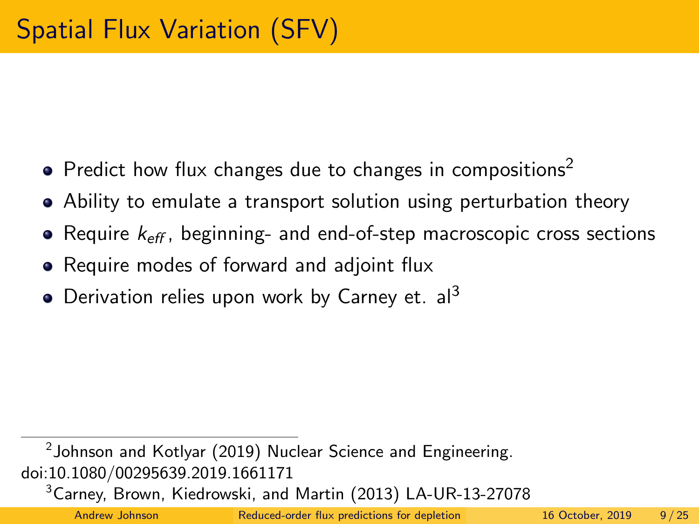- <span id="page-8-0"></span>• Predict how flux changes due to changes in compositions<sup>2</sup>
- Ability to emulate a transport solution using perturbation theory
- Require  $k_{\text{eff}}$ , beginning- and end-of-step macroscopic cross sections
- Require modes of forward and adjoint flux
- $\bullet$  Derivation relies upon work by Carney et. al<sup>3</sup>

 $^2$ [Johnson and Kotlyar \(2019\) Nuclear Science and Engineering.](https://doi.org/10.1080/00295639.2019.1661171) [doi:10.1080/00295639.2019.1661171](https://doi.org/10.1080/00295639.2019.1661171)

<sup>3</sup>Carnev, Brown, Kiedrowski, and Martin (2013) LA-UR-13-27078

Andrew Johnson [Reduced-order flux predictions for depletion](#page-0-0) 16 October, 2019 9/25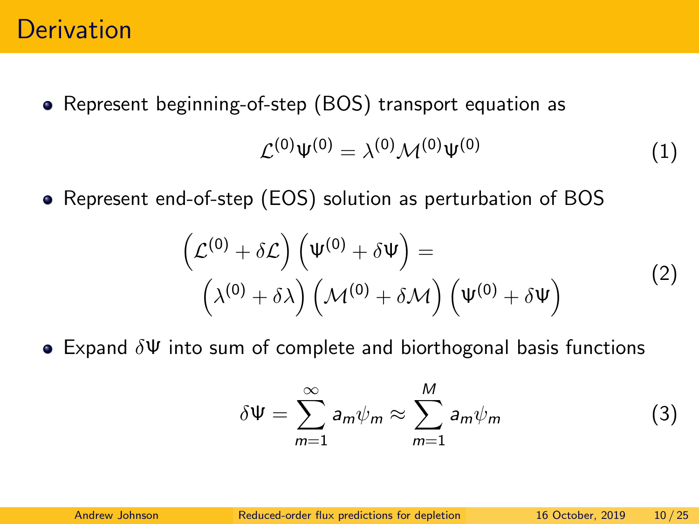#### **Derivation**

Represent beginning-of-step (BOS) transport equation as

$$
\mathcal{L}^{(0)}\Psi^{(0)} = \lambda^{(0)}\mathcal{M}^{(0)}\Psi^{(0)}\tag{1}
$$

Represent end-of-step (EOS) solution as perturbation of BOS

$$
\left(\mathcal{L}^{(0)} + \delta \mathcal{L}\right) \left(\Psi^{(0)} + \delta \Psi\right) =
$$
\n
$$
\left(\lambda^{(0)} + \delta \lambda\right) \left(\mathcal{M}^{(0)} + \delta \mathcal{M}\right) \left(\Psi^{(0)} + \delta \Psi\right)
$$
\n(2)

 $\bullet$  Expand  $\delta \Psi$  into sum of complete and biorthogonal basis functions

$$
\delta \Psi = \sum_{m=1}^{\infty} a_m \psi_m \approx \sum_{m=1}^{M} a_m \psi_m \tag{3}
$$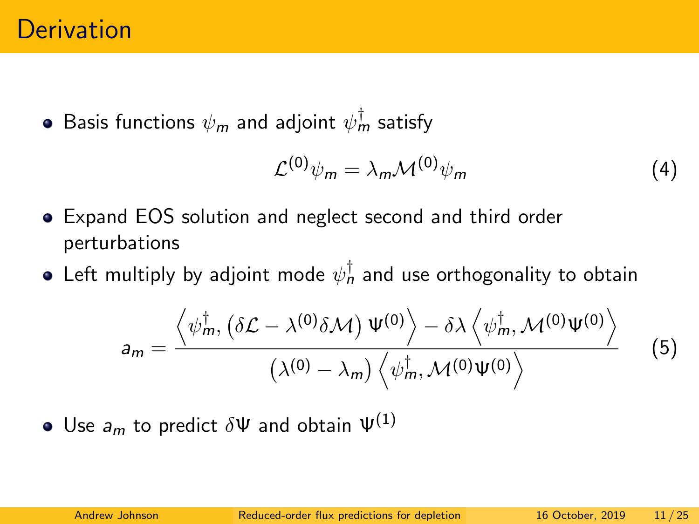#### **Derivation**

Basis functions  $\psi_{\bm m}$  and adjoint  $\psi_{\bm m}^\dagger$  satisfy

$$
\mathcal{L}^{(0)}\psi_m = \lambda_m \mathcal{M}^{(0)}\psi_m \tag{4}
$$

- Expand EOS solution and neglect second and third order perturbations
- Left multiply by adjoint mode  $\psi_n^\dagger$  and use orthogonality to obtain

$$
a_m = \frac{\left\langle \psi_m^{\dagger}, \left( \delta \mathcal{L} - \lambda^{(0)} \delta \mathcal{M} \right) \Psi^{(0)} \right\rangle - \delta \lambda \left\langle \psi_m^{\dagger}, \mathcal{M}^{(0)} \Psi^{(0)} \right\rangle}{\left( \lambda^{(0)} - \lambda_m \right) \left\langle \psi_m^{\dagger}, \mathcal{M}^{(0)} \Psi^{(0)} \right\rangle} \tag{5}
$$

• Use  $a_m$  to predict  $\delta \Psi$  and obtain  $\Psi^{(1)}$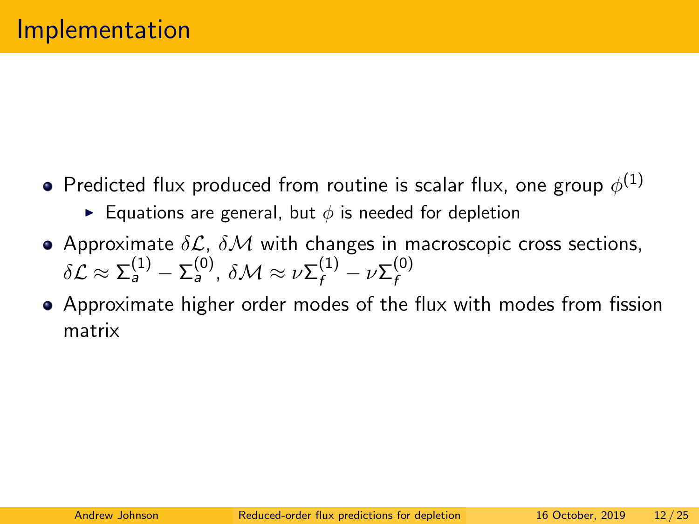- Predicted flux produced from routine is scalar flux, one group  $\phi^{(1)}$ 
	- **Equations are general, but**  $\phi$  **is needed for depletion**
- Approximate  $\delta \mathcal{L}$ ,  $\delta \mathcal{M}$  with changes in macroscopic cross sections,  $\delta {\cal L} \approx \Sigma_a^{(1)} - \Sigma_a^{(0)}, ~\delta {\cal M} \approx \nu \Sigma_f^{(1)} - \nu \Sigma_f^{(0)}$ f
- Approximate higher order modes of the flux with modes from fission matrix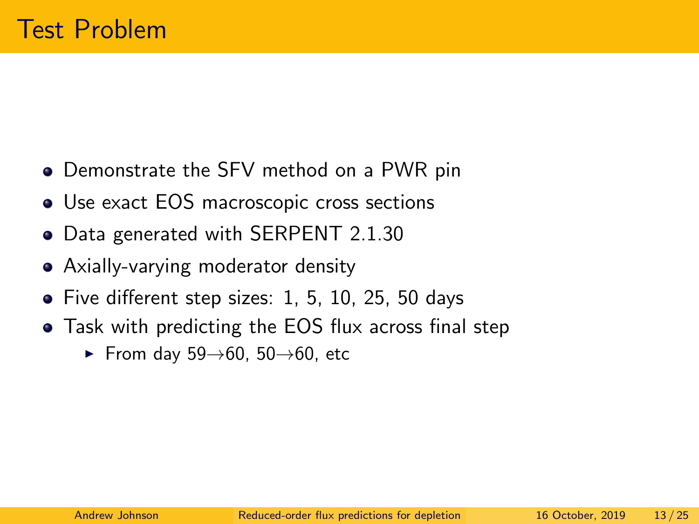- <span id="page-12-0"></span>Demonstrate the SFV method on a PWR pin
- Use exact EOS macroscopic cross sections
- Data generated with SERPENT 2.1.30
- Axially-varying moderator density
- Five different step sizes: 1, 5, 10, 25, 50 days
- Task with predicting the EOS flux across final step
	- From day  $59 \rightarrow 60$ ,  $50 \rightarrow 60$ , etc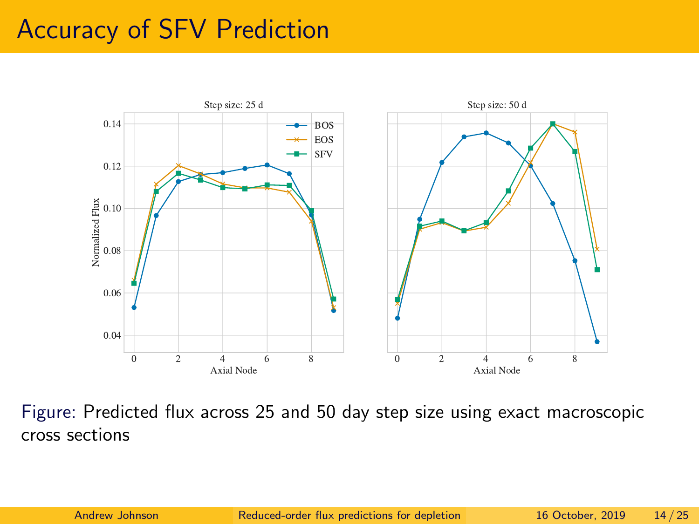## <span id="page-13-0"></span>Accuracy of SFV Prediction



Figure: Predicted flux across 25 and 50 day step size using exact macroscopic cross sections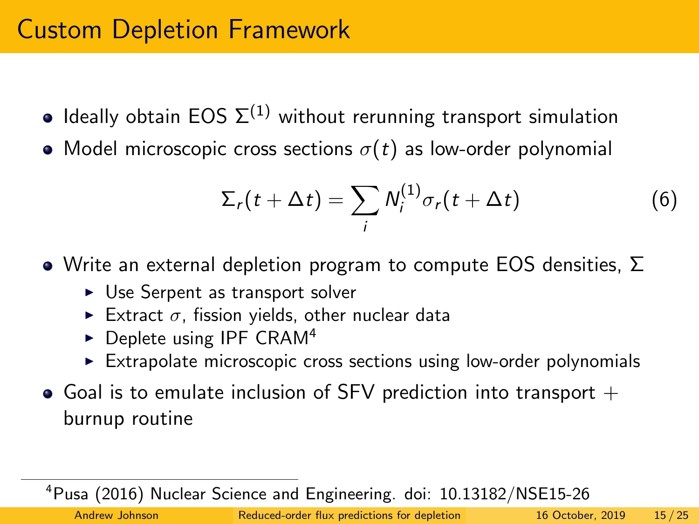# <span id="page-14-0"></span>Custom Depletion Framework

- Ideally obtain EOS  $\Sigma^{(1)}$  without rerunning transport simulation
- Model microscopic cross sections  $\sigma(t)$  as low-order polynomial

$$
\Sigma_r(t+\Delta t)=\sum_i N_i^{(1)}\sigma_r(t+\Delta t)
$$
 (6)

- $\bullet$  Write an external depletion program to compute EOS densities,  $\Sigma$ 
	- $\triangleright$  Use Serpent as transport solver
	- Extract  $\sigma$ , fission yields, other nuclear data
	- $\triangleright$  Deplete using IPF CRAM<sup>4</sup>
	- $\triangleright$  Extrapolate microscopic cross sections using low-order polynomials
- $\bullet$  Goal is to emulate inclusion of SFV prediction into transport  $+$ burnup routine

<sup>4</sup>Pusa (2016) Nuclear Science and Engineering. [doi: 10.13182/NSE15-26](https://doi.org/10.13182/NSE15-26)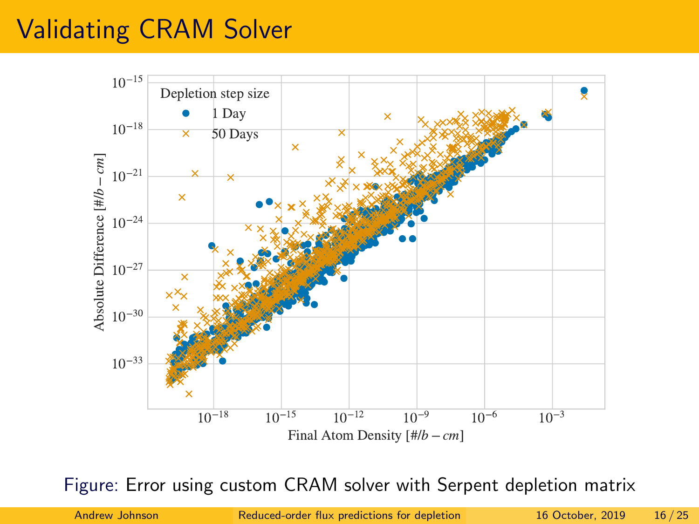# Validating CRAM Solver



Figure: Error using custom CRAM solver with Serpent depletion matrix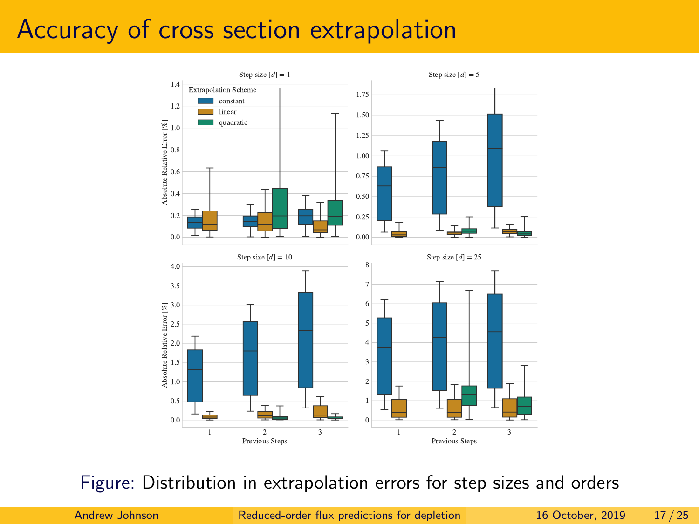### Accuracy of cross section extrapolation



Figure: Distribution in extrapolation errors for step sizes and orders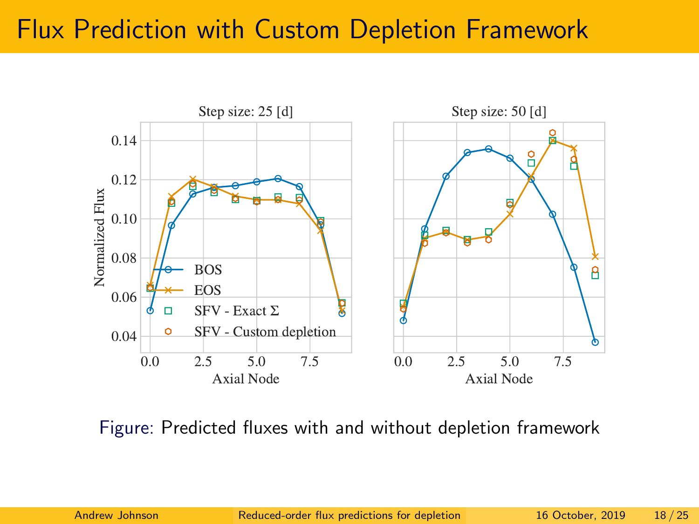## Flux Prediction with Custom Depletion Framework



Figure: Predicted fluxes with and without depletion framework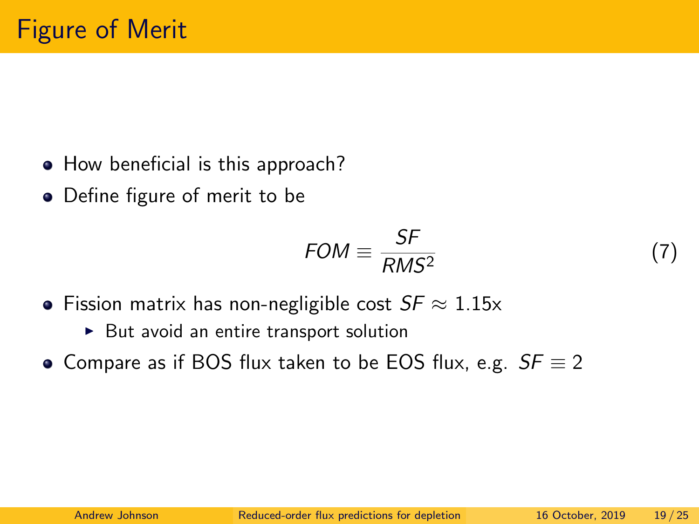- <span id="page-18-0"></span>• How beneficial is this approach?
- Define figure of merit to be

$$
FOM \equiv \frac{SF}{RMS^2}
$$

- Fission matrix has non-negligible cost  $SF \approx 1.15x$ 
	- $\triangleright$  But avoid an entire transport solution
- Compare as if BOS flux taken to be EOS flux, e.g.  $SF \equiv 2$

(7)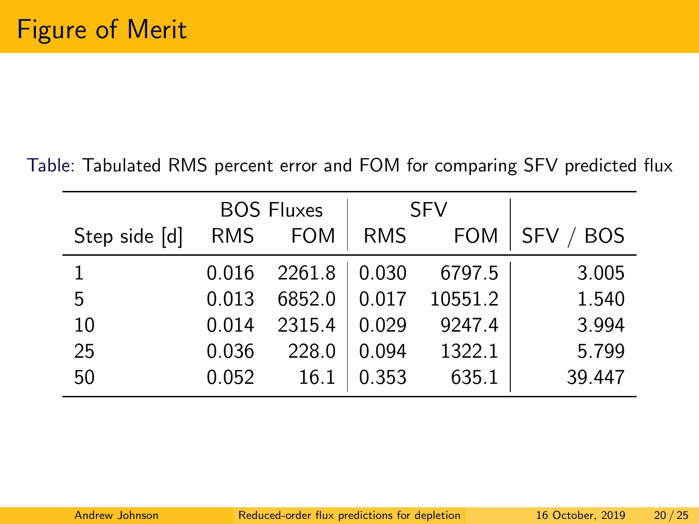#### Table: Tabulated RMS percent error and FOM for comparing SFV predicted flux

|               | <b>BOS Fluxes</b> |            | <b>SFV</b> |            |                          |
|---------------|-------------------|------------|------------|------------|--------------------------|
| Step side [d] | <b>RMS</b>        | <b>FOM</b> | <b>RMS</b> | <b>FOM</b> | <b>SFV</b><br><b>BOS</b> |
|               | 0.016             | 2261.8     | 0.030      | 6797.5     | 3.005                    |
| 5             | 0.013             | 6852.0     | 0.017      | 10551.2    | 1.540                    |
| 10            | 0.014             | 2315.4     | 0.029      | 9247.4     | 3.994                    |
| 25            | 0.036             | 228.0      | 0.094      | 1322.1     | 5.799                    |
| 50            | 0.052             | 16.1       | 0.353      | 635.1      | 39.447                   |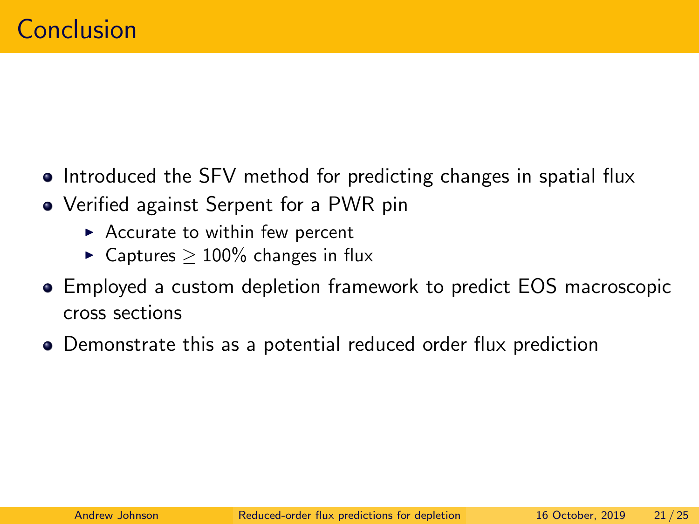- <span id="page-20-0"></span>• Introduced the SFV method for predicting changes in spatial flux
- Verified against Serpent for a PWR pin
	- $\triangleright$  Accurate to within few percent
	- ► Captures  $> 100\%$  changes in flux
- Employed a custom depletion framework to predict EOS macroscopic cross sections
- Demonstrate this as a potential reduced order flux prediction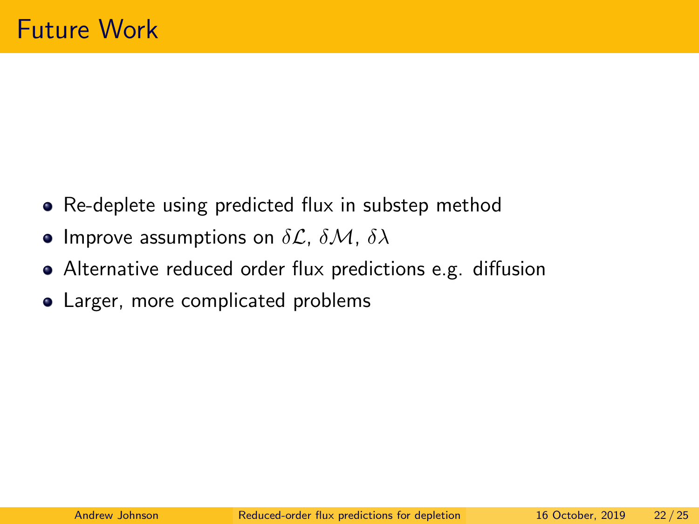- Re-deplete using predicted flux in substep method
- Improve assumptions on  $\delta \mathcal{L}$ ,  $\delta \mathcal{M}$ ,  $\delta \lambda$
- Alternative reduced order flux predictions e.g. diffusion
- Larger, more complicated problems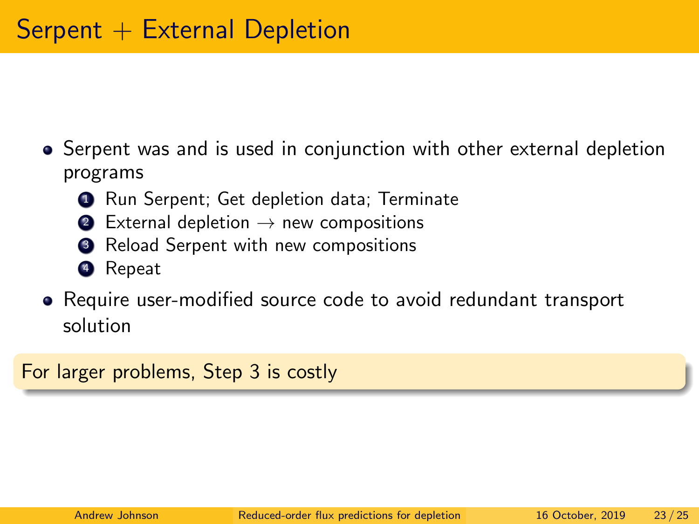- <span id="page-22-0"></span>• Serpent was and is used in conjunction with other external depletion programs
	- **1** Run Serpent; Get depletion data; Terminate
	- External depletion  $\rightarrow$  new compositions
	- <sup>3</sup> Reload Serpent with new compositions
	- <sup>4</sup> Repeat
- <span id="page-22-1"></span>Require user-modified source code to avoid redundant transport solution

For larger problems, Step [3](#page-22-1) is costly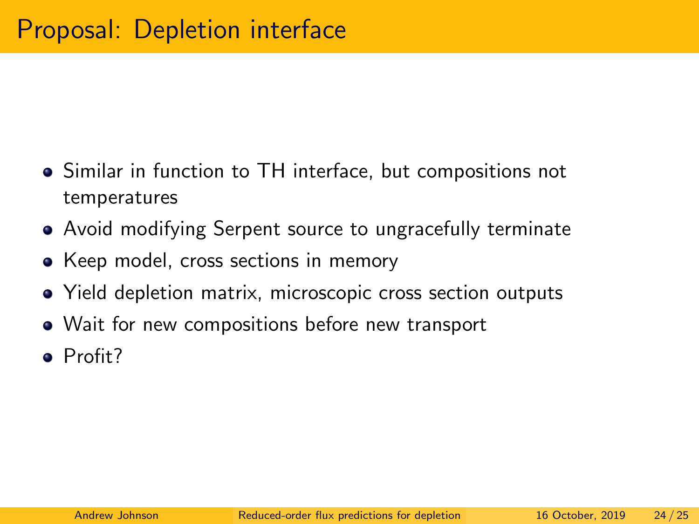- Similar in function to TH interface, but compositions not temperatures
- Avoid modifying Serpent source to ungracefully terminate
- Keep model, cross sections in memory
- Yield depletion matrix, microscopic cross section outputs
- Wait for new compositions before new transport
- **Profit?**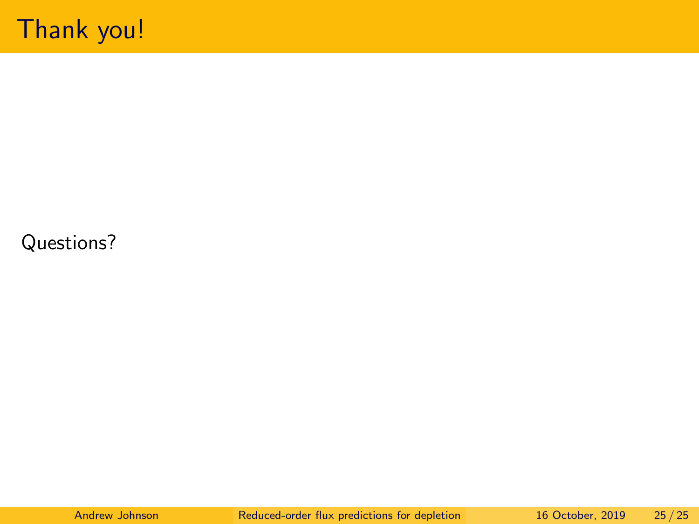#### <span id="page-24-0"></span>Questions?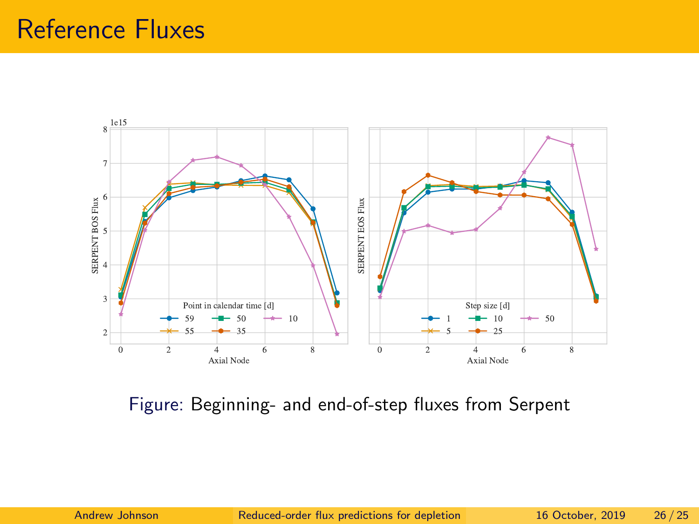

Figure: Beginning- and end-of-step fluxes from Serpent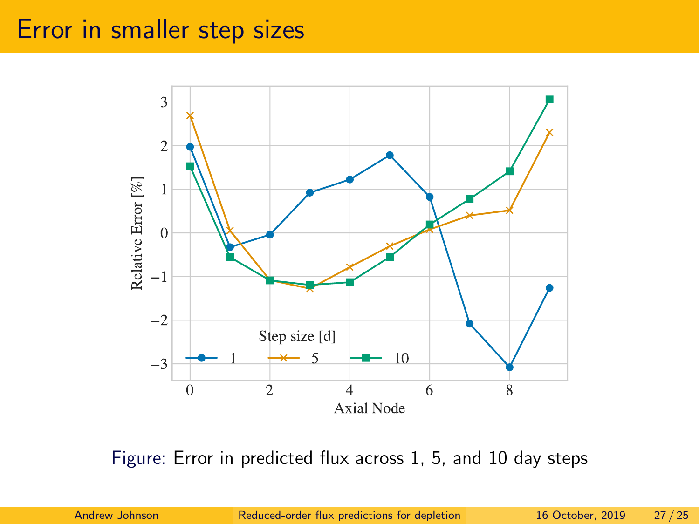#### Error in smaller step sizes



Figure: Error in predicted flux across 1, 5, and 10 day steps

Andrew Johnson [Reduced-order flux predictions for depletion](#page-0-0) 16 October, 2019 27/25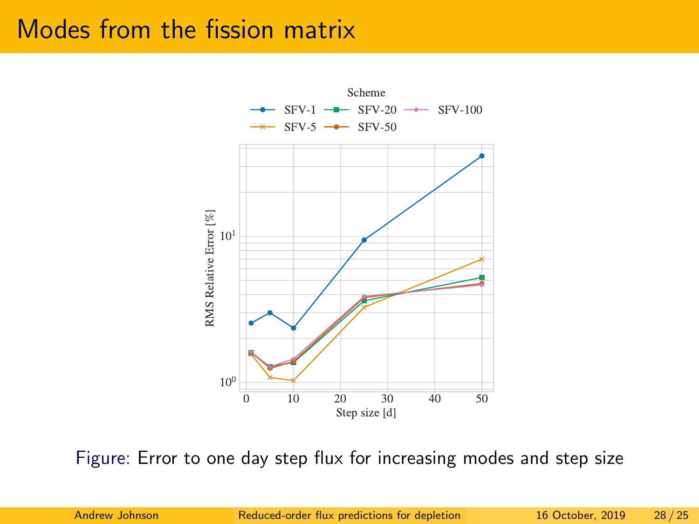### Modes from the fission matrix



Figure: Error to one day step flux for increasing modes and step size